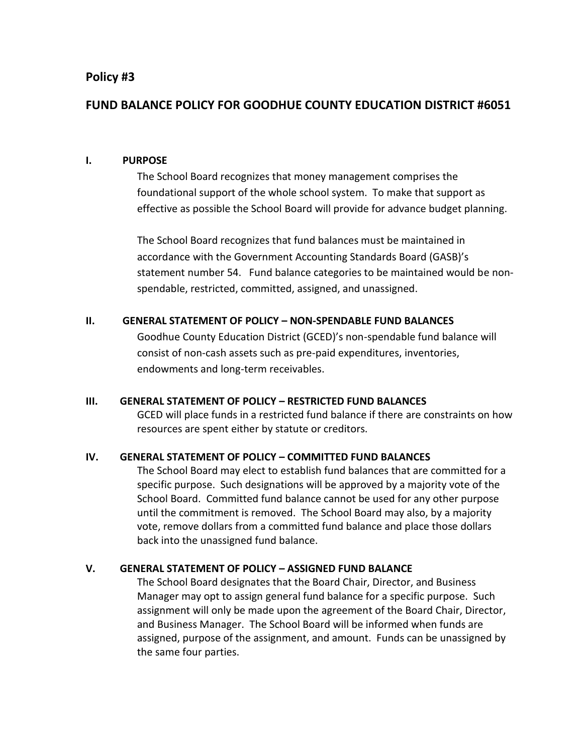## **Policy #3**

# **FUND BALANCE POLICY FOR GOODHUE COUNTY EDUCATION DISTRICT #6051**

#### **I. PURPOSE**

The School Board recognizes that money management comprises the foundational support of the whole school system. To make that support as effective as possible the School Board will provide for advance budget planning.

The School Board recognizes that fund balances must be maintained in accordance with the Government Accounting Standards Board (GASB)'s statement number 54. Fund balance categories to be maintained would be nonspendable, restricted, committed, assigned, and unassigned.

#### **II. GENERAL STATEMENT OF POLICY – NON-SPENDABLE FUND BALANCES**

Goodhue County Education District (GCED)'s non-spendable fund balance will consist of non-cash assets such as pre-paid expenditures, inventories, endowments and long-term receivables.

#### **III. GENERAL STATEMENT OF POLICY – RESTRICTED FUND BALANCES**

GCED will place funds in a restricted fund balance if there are constraints on how resources are spent either by statute or creditors.

#### **IV. GENERAL STATEMENT OF POLICY – COMMITTED FUND BALANCES**

The School Board may elect to establish fund balances that are committed for a specific purpose. Such designations will be approved by a majority vote of the School Board. Committed fund balance cannot be used for any other purpose until the commitment is removed. The School Board may also, by a majority vote, remove dollars from a committed fund balance and place those dollars back into the unassigned fund balance.

## **V. GENERAL STATEMENT OF POLICY – ASSIGNED FUND BALANCE**

The School Board designates that the Board Chair, Director, and Business Manager may opt to assign general fund balance for a specific purpose. Such assignment will only be made upon the agreement of the Board Chair, Director, and Business Manager. The School Board will be informed when funds are assigned, purpose of the assignment, and amount. Funds can be unassigned by the same four parties.